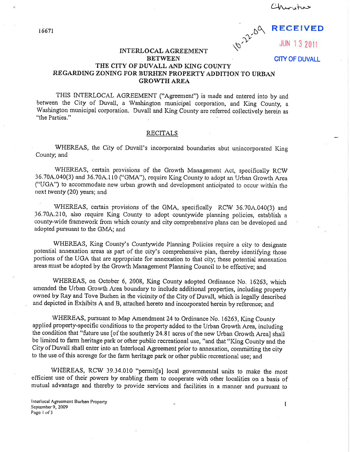Chinotus

10-22-09 **RECEIVED JUN 13 2011** 

## THE CITY OF DUVALL AND KING COUNTY REGARDING ZONING FOR BURHEN PROPERTY ADDITION TO URBAN **GROWTH AREA** BETWEEN CITY OF DUVALL

INTERLOCAL AGREEMENT

THIS INTERLOCAL AGREEMENT ("Agreement") is made and entered into by and between the City of Duvall, a Washington municipal corporation, and King County, a Washington municipal corporation. Duvall and King County are referred collectively herein as "the Parties."

## RECITALS

WHEREAS, the City of Duvall's incorporated boundaries abut unincorporated King County; and

WHEREAS, certain provisions of the Growth Management Act, specifically RCW 36.704.040(3) and 36.70A.110 ("GMA"), require King County to adopt an Urban Growth Area ("UGA") to accommodate new urban growth and development anticipated to occur within the next twenty (20) years; and

WHEREAS, certain provisions of the GMA, specifically RCW 36.70A.040(3) and 36.70A.210, also require King County to adopt countywide planning policies, establish a county-wide framework from which county and city comprehensive plans can be developed and adopted pursuant to the GMA; and

WHEREAS, King County's Countywide Planning Policies require a city to designate potential annexation areas as part of the city's comprehensive plan, thereby identifying those portions of the UGA that are appropriate for annexation to that city; these potential annexation areas must be adopted by the Growth Management Planning Council to be effective; and

WHEREAS, on October 6, 2008, King County adopted Ordinance No. 16263, which amended the Urban Growth Area boundary to include additional properties, including property owned by Ray and Tove Burhen in the vicinity of the City of Duvall, which is legally described and depicted in Exhibits A and B, attached hereto and incorporated herein by reference; and

WHEREAS, pursuant to Map Amendment 24 to Ordinance No. 16263, King County applied property-specific conditions to the property added to the Urban Growth Area, including the condition that "future use fof the southerly 24.81 acres of the new Urban Growth Area] shall be limited to farm heritage park or other public recreational use, "and that "King County and the City of Duvall shall enter into an lnterlocal Agreement prior to annexation, committing the city to the use of this acreage for the farm heritage park or other public recreational use; and

WHEREAS, RCW 39.34.010 "permit[s] local governmental units to make the most efficient use of their powers by enabling them to cooperate with other localities on a basis of mutual advantage and thereby to provide services and facilities in a manner and pursuant to

t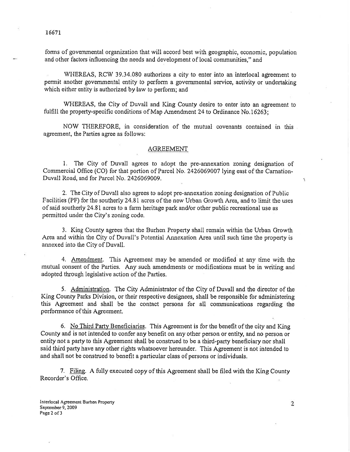forms of governmental organization that will accord best with geographic, economic, population and other factors influencing the needs and development of local communities," and

WHEREAS, RCW 39.34.080 authorizes a city to enter into an interlocal agreement to permit another govemmental entity to perform a governmental service, activity or undertaking which either entity is authorized by law to perform; and

WHEREAS, the City of Duvall and King County desire to enter into an agreement to fulfill the property-specific conditions of Map Amendment 24 to Ordinance No.16263;

NOW THEREFORE, in consideration of the mulual covenants contained in this agreement, the Parties agree as follows:

## AGREEMENT

L The City of Duvall agrees to adopt the pre-annexation zoning designation of Commercial Office (CO) for thal portion of Parcel No. 2426069007 lying east of the Camation-Duvall Road, and for Parcel No. 2426069009.

2. The City of Duvall also agrees to adopt pre-annexation zoning designation of Public Facilities (PF) for the southerly 24.81 acres of the new Urban Growth Area, and to limit the uses of said southerly 24.81 acres to a farm heritage park and/or other public recreational use as permitted under the City's zoníng code.

3. King County agrees that the Burhen Property shall remain within the Urban Growth Area and within the City of Duvall's Potential Annexation Area until such time the property is annexed into the City of Duvall.

4. Amendment. This Agreement may be amended or modified at any time with the mutual consent of the Parties. Any such amendments or modifications must be in writing and adopted through legislative action of the Parties.

5. Administration. The Ciry Administrator of the City of Duvall and the director of the King County Parks Division, or their respective designees, shall be responsible for administering this Agreement and shall be the contact persons for all communications regarding the performance of this Agreement.

6. No Third Party Beneficiaries. This Agreement is for the benefit of the city and King County and is not intended to confer any benefit on any other person or entity, and no person or entity not a party to this Agreement shall be construed to be a third-party benefrciary nor shall said third party have any other rights whatsoever hereunder. This Agreement is not intended to and shall not be construed to benefit a particular class of persons or individuals.

7. Filine. A fully executed copy of this Agreement shall be filed with the King County Recorder's Office.

Interlocal Agreement Burhen Property September 9, 2009 Page 2 of 3

 $\overline{2}$